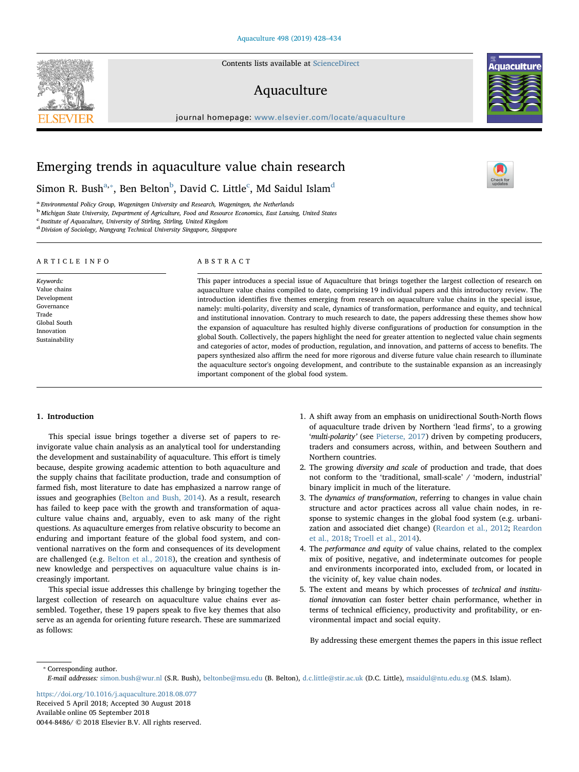Contents lists available at [ScienceDirect](http://www.sciencedirect.com/science/journal/00448486)

## Aquaculture

journal homepage: [www.elsevier.com/locate/aquaculture](https://www.elsevier.com/locate/aquaculture)



 $\frac{N}{2}$ 

# Emerging trends in aquaculture value chain research

Simon R. Bush $^{a,*},$  $^{a,*},$  $^{a,*},$  Ben Belton $^{\rm b}$  $^{\rm b}$  $^{\rm b}$ , Davi[d](#page-0-4) C. Little $^{\rm c}$  $^{\rm c}$  $^{\rm c}$ , Md Saidul Islam $^{\rm d}$ 

<span id="page-0-0"></span><sup>a</sup> Environmental Policy Group, Wageningen University and Research, Wageningen, the Netherlands

<span id="page-0-2"></span><sup>b</sup> Michigan State University, Department of Agriculture, Food and Resource Economics, East Lansing, United States

<span id="page-0-3"></span><sup>c</sup> Institute of Aquaculture, University of Stirling, Stirling, United Kingdom

<span id="page-0-4"></span><sup>d</sup> Division of Sociology, Nangyang Technical University Singapore, Singapore

| ARTICLE INFO                                                                                                    | ABSTRACT                                                                                                                                                                                                                                                                                                                                                                                                                                                                                                                                                                                                                                                                                                                                                                                                                                                                                                                                                                                                                                                                                                                                                                                                                         |
|-----------------------------------------------------------------------------------------------------------------|----------------------------------------------------------------------------------------------------------------------------------------------------------------------------------------------------------------------------------------------------------------------------------------------------------------------------------------------------------------------------------------------------------------------------------------------------------------------------------------------------------------------------------------------------------------------------------------------------------------------------------------------------------------------------------------------------------------------------------------------------------------------------------------------------------------------------------------------------------------------------------------------------------------------------------------------------------------------------------------------------------------------------------------------------------------------------------------------------------------------------------------------------------------------------------------------------------------------------------|
| Keywords:<br>Value chains<br>Development<br>Governance<br>Trade<br>Global South<br>Innovation<br>Sustainability | This paper introduces a special issue of Aquaculture that brings together the largest collection of research on<br>aquaculture value chains compiled to date, comprising 19 individual papers and this introductory review. The<br>introduction identifies five themes emerging from research on aquaculture value chains in the special issue,<br>namely: multi-polarity, diversity and scale, dynamics of transformation, performance and equity, and technical<br>and institutional innovation. Contrary to much research to date, the papers addressing these themes show how<br>the expansion of aquaculture has resulted highly diverse configurations of production for consumption in the<br>global South. Collectively, the papers highlight the need for greater attention to neglected value chain segments<br>and categories of actor, modes of production, regulation, and innovation, and patterns of access to benefits. The<br>papers synthesized also affirm the need for more rigorous and diverse future value chain research to illuminate<br>the aquaculture sector's ongoing development, and contribute to the sustainable expansion as an increasingly<br>important component of the global food system. |

## 1. Introduction

This special issue brings together a diverse set of papers to reinvigorate value chain analysis as an analytical tool for understanding the development and sustainability of aquaculture. This effort is timely because, despite growing academic attention to both aquaculture and the supply chains that facilitate production, trade and consumption of farmed fish, most literature to date has emphasized a narrow range of issues and geographies [\(Belton and Bush, 2014](#page-5-0)). As a result, research has failed to keep pace with the growth and transformation of aquaculture value chains and, arguably, even to ask many of the right questions. As aquaculture emerges from relative obscurity to become an enduring and important feature of the global food system, and conventional narratives on the form and consequences of its development are challenged (e.g. [Belton et al., 2018](#page-5-1)), the creation and synthesis of new knowledge and perspectives on aquaculture value chains is increasingly important.

This special issue addresses this challenge by bringing together the largest collection of research on aquaculture value chains ever assembled. Together, these 19 papers speak to five key themes that also serve as an agenda for orienting future research. These are summarized as follows:

- 1. A shift away from an emphasis on unidirectional South-North flows of aquaculture trade driven by Northern 'lead firms', to a growing 'multi-polarity' (see [Pieterse, 2017](#page-6-0)) driven by competing producers, traders and consumers across, within, and between Southern and Northern countries.
- 2. The growing diversity and scale of production and trade, that does not conform to the 'traditional, small-scale' / 'modern, industrial' binary implicit in much of the literature.
- 3. The dynamics of transformation, referring to changes in value chain structure and actor practices across all value chain nodes, in response to systemic changes in the global food system (e.g. urbanization and associated diet change) ([Reardon et al., 2012;](#page-6-1) [Reardon](#page-6-2) [et al., 2018](#page-6-2); [Troell et al., 2014](#page-6-3)).
- 4. The performance and equity of value chains, related to the complex mix of positive, negative, and indeterminate outcomes for people and environments incorporated into, excluded from, or located in the vicinity of, key value chain nodes.
- 5. The extent and means by which processes of technical and institutional innovation can foster better chain performance, whether in terms of technical efficiency, productivity and profitability, or environmental impact and social equity.

By addressing these emergent themes the papers in this issue reflect

<span id="page-0-1"></span>⁎ Corresponding author.

E-mail addresses: [simon.bush@wur.nl](mailto:simon.bush@wur.nl) (S.R. Bush), [beltonbe@msu.edu](mailto:beltonbe@msu.edu) (B. Belton), [d.c.little@stir.ac.uk](mailto:d.c.little@stir.ac.uk) (D.C. Little), [msaidul@ntu.edu.sg](mailto:msaidul@ntu.edu.sg) (M.S. Islam).

<https://doi.org/10.1016/j.aquaculture.2018.08.077> Received 5 April 2018; Accepted 30 August 2018 Available online 05 September 2018 0044-8486/ © 2018 Elsevier B.V. All rights reserved.

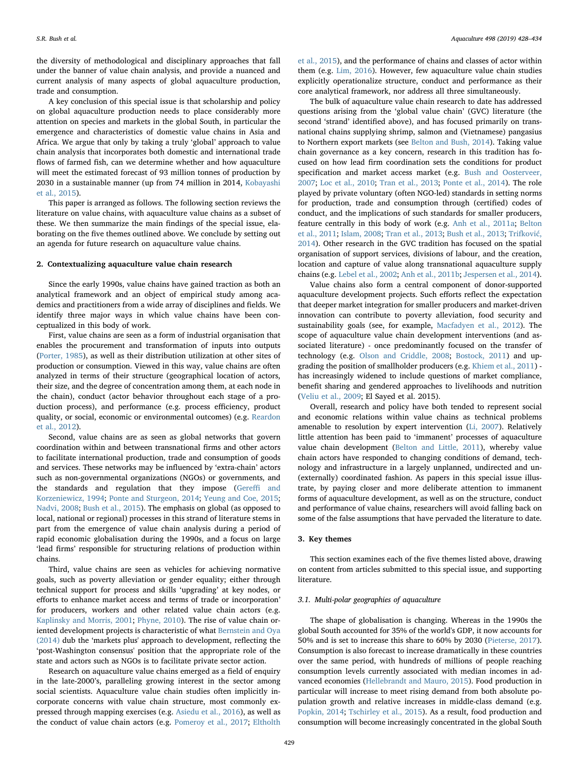the diversity of methodological and disciplinary approaches that fall under the banner of value chain analysis, and provide a nuanced and current analysis of many aspects of global aquaculture production, trade and consumption.

A key conclusion of this special issue is that scholarship and policy on global aquaculture production needs to place considerably more attention on species and markets in the global South, in particular the emergence and characteristics of domestic value chains in Asia and Africa. We argue that only by taking a truly 'global' approach to value chain analysis that incorporates both domestic and international trade flows of farmed fish, can we determine whether and how aquaculture will meet the estimated forecast of 93 million tonnes of production by 2030 in a sustainable manner (up from 74 million in 2014, [Kobayashi](#page-6-4) [et al., 2015](#page-6-4)).

This paper is arranged as follows. The following section reviews the literature on value chains, with aquaculture value chains as a subset of these. We then summarize the main findings of the special issue, elaborating on the five themes outlined above. We conclude by setting out an agenda for future research on aquaculture value chains.

#### 2. Contextualizing aquaculture value chain research

Since the early 1990s, value chains have gained traction as both an analytical framework and an object of empirical study among academics and practitioners from a wide array of disciplines and fields. We identify three major ways in which value chains have been conceptualized in this body of work.

First, value chains are seen as a form of industrial organisation that enables the procurement and transformation of inputs into outputs ([Porter, 1985](#page-6-5)), as well as their distribution utilization at other sites of production or consumption. Viewed in this way, value chains are often analyzed in terms of their structure (geographical location of actors, their size, and the degree of concentration among them, at each node in the chain), conduct (actor behavior throughout each stage of a production process), and performance (e.g. process efficiency, product quality, or social, economic or environmental outcomes) (e.g. [Reardon](#page-6-1) [et al., 2012](#page-6-1)).

Second, value chains are as seen as global networks that govern coordination within and between transnational firms and other actors to facilitate international production, trade and consumption of goods and services. These networks may be influenced by 'extra-chain' actors such as non-governmental organizations (NGOs) or governments, and the standards and regulation that they impose ([Gere](#page-5-2)ffi and [Korzeniewicz, 1994](#page-5-2); [Ponte and Sturgeon, 2014](#page-6-6); [Yeung and Coe, 2015](#page-6-7); [Nadvi, 2008;](#page-6-8) [Bush et al., 2015\)](#page-5-3). The emphasis on global (as opposed to local, national or regional) processes in this strand of literature stems in part from the emergence of value chain analysis during a period of rapid economic globalisation during the 1990s, and a focus on large 'lead firms' responsible for structuring relations of production within chains.

Third, value chains are seen as vehicles for achieving normative goals, such as poverty alleviation or gender equality; either through technical support for process and skills 'upgrading' at key nodes, or efforts to enhance market access and terms of trade or incorporation' for producers, workers and other related value chain actors (e.g. [Kaplinsky and Morris, 2001;](#page-6-9) [Phyne, 2010](#page-6-10)). The rise of value chain oriented development projects is characteristic of what [Bernstein and Oya](#page-5-4) [\(2014\)](#page-5-4) dub the 'markets plus' approach to development, reflecting the 'post-Washington consensus' position that the appropriate role of the state and actors such as NGOs is to facilitate private sector action.

Research on aquaculture value chains emerged as a field of enquiry in the late-2000's, paralleling growing interest in the sector among social scientists. Aquaculture value chain studies often implicitly incorporate concerns with value chain structure, most commonly expressed through mapping exercises (e.g. [Asiedu et al., 2016](#page-5-5)), as well as the conduct of value chain actors (e.g. [Pomeroy et al., 2017](#page-6-11); [Eltholth](#page-5-6)

[et al., 2015\)](#page-5-6), and the performance of chains and classes of actor within them (e.g. [Lim, 2016\)](#page-6-12). However, few aquaculture value chain studies explicitly operationalize structure, conduct and performance as their core analytical framework, nor address all three simultaneously.

The bulk of aquaculture value chain research to date has addressed questions arising from the 'global value chain' (GVC) literature (the second 'strand' identified above), and has focused primarily on transnational chains supplying shrimp, salmon and (Vietnamese) pangasius to Northern export markets (see [Belton and Bush, 2014\)](#page-5-0). Taking value chain governance as a key concern, research in this tradition has focused on how lead firm coordination sets the conditions for product specification and market access market (e.g. [Bush and Oosterveer,](#page-5-7) [2007;](#page-5-7) [Loc et al., 2010;](#page-6-13) [Tran et al., 2013;](#page-6-14) [Ponte et al., 2014\)](#page-6-15). The role played by private voluntary (often NGO-led) standards in setting norms for production, trade and consumption through (certified) codes of conduct, and the implications of such standards for smaller producers, feature centrally in this body of work (e.g. [Anh et al., 2011a;](#page-5-8) [Belton](#page-5-9) [et al., 2011;](#page-5-9) [Islam, 2008](#page-6-16); [Tran et al., 2013](#page-6-14); [Bush et al., 2013](#page-5-10); [Trifkovi](#page-6-17)ć, [2014\)](#page-6-17). Other research in the GVC tradition has focused on the spatial organisation of support services, divisions of labour, and the creation, location and capture of value along transnational aquaculture supply chains (e.g. [Lebel et al., 2002;](#page-6-18) [Anh et al., 2011b;](#page-5-11) Jespersen [et al., 2014](#page-6-19)).

Value chains also form a central component of donor-supported aquaculture development projects. Such efforts reflect the expectation that deeper market integration for smaller producers and market-driven innovation can contribute to poverty alleviation, food security and sustainability goals (see, for example, [Macfadyen et al., 2012](#page-6-20)). The scope of aquaculture value chain development interventions (and associated literature) - once predominantly focused on the transfer of technology (e.g. [Olson and Criddle, 2008;](#page-6-21) [Bostock, 2011](#page-5-12)) and upgrading the position of smallholder producers (e.g. [Khiem et al., 2011](#page-6-22)) has increasingly widened to include questions of market compliance, benefit sharing and gendered approaches to livelihoods and nutrition ([Veliu et al., 2009;](#page-6-23) El Sayed et al. 2015).

Overall, research and policy have both tended to represent social and economic relations within value chains as technical problems amenable to resolution by expert intervention ([Li, 2007](#page-6-24)). Relatively little attention has been paid to 'immanent' processes of aquaculture value chain development ([Belton and Little, 2011](#page-5-13)), whereby value chain actors have responded to changing conditions of demand, technology and infrastructure in a largely unplanned, undirected and un- (externally) coordinated fashion. As papers in this special issue illustrate, by paying closer and more deliberate attention to immanent forms of aquaculture development, as well as on the structure, conduct and performance of value chains, researchers will avoid falling back on some of the false assumptions that have pervaded the literature to date.

## 3. Key themes

This section examines each of the five themes listed above, drawing on content from articles submitted to this special issue, and supporting literature.

## 3.1. Multi-polar geographies of aquaculture

The shape of globalisation is changing. Whereas in the 1990s the global South accounted for 35% of the world's GDP, it now accounts for 50% and is set to increase this share to 60% by 2030 ([Pieterse, 2017](#page-6-0)). Consumption is also forecast to increase dramatically in these countries over the same period, with hundreds of millions of people reaching consumption levels currently associated with median incomes in advanced economies [\(Hellebrandt and Mauro, 2015](#page-5-14)). Food production in particular will increase to meet rising demand from both absolute population growth and relative increases in middle-class demand (e.g. [Popkin, 2014;](#page-6-25) [Tschirley et al., 2015](#page-6-26)). As a result, food production and consumption will become increasingly concentrated in the global South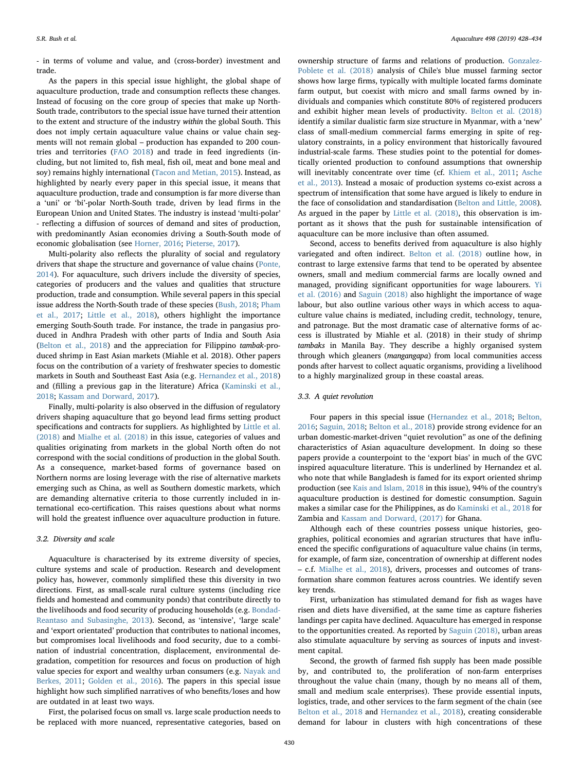- in terms of volume and value, and (cross-border) investment and trade.

As the papers in this special issue highlight, the global shape of aquaculture production, trade and consumption reflects these changes. Instead of focusing on the core group of species that make up North-South trade, contributors to the special issue have turned their attention to the extent and structure of the industry within the global South. This does not imply certain aquaculture value chains or value chain segments will not remain global – production has expanded to 200 countries and territories ([FAO 2018\)](#page-5-15) and trade in feed ingredients (including, but not limited to, fish meal, fish oil, meat and bone meal and soy) remains highly international [\(Tacon and Metian, 2015\)](#page-6-27). Instead, as highlighted by nearly every paper in this special issue, it means that aquaculture production, trade and consumption is far more diverse than a 'uni' or 'bi'-polar North-South trade, driven by lead firms in the European Union and United States. The industry is instead 'multi-polar' - reflecting a diffusion of sources of demand and sites of production, with predominantly Asian economies driving a South-South mode of economic globalisation (see [Horner, 2016](#page-6-28); [Pieterse, 2017\)](#page-6-0).

Multi-polarity also reflects the plurality of social and regulatory drivers that shape the structure and governance of value chains [\(Ponte,](#page-6-29) [2014\)](#page-6-29). For aquaculture, such drivers include the diversity of species, categories of producers and the values and qualities that structure production, trade and consumption. While several papers in this special issue address the North-South trade of these species ([Bush, 2018](#page-5-16); [Pham](#page-6-30) [et al., 2017;](#page-6-30) [Little et al., 2018\)](#page-6-31), others highlight the importance emerging South-South trade. For instance, the trade in pangasius produced in Andhra Pradesh with other parts of India and South Asia ([Belton et al., 2018](#page-5-1)) and the appreciation for Filippino tambak-produced shrimp in East Asian markets (Miahle et al. 2018). Other papers focus on the contribution of a variety of freshwater species to domestic markets in South and Southeast East Asia (e.g. [Hernandez et al., 2018\)](#page-5-17) and (filling a previous gap in the literature) Africa [\(Kaminski et al.,](#page-6-32) [2018;](#page-6-32) [Kassam and Dorward, 2017\)](#page-6-33).

Finally, multi-polarity is also observed in the diffusion of regulatory drivers shaping aquaculture that go beyond lead firms setting product specifications and contracts for suppliers. As highlighted by [Little et al.](#page-6-31) [\(2018\)](#page-6-31) and Mialhe [et al. \(2018\)](#page-6-34) in this issue, categories of values and qualities originating from markets in the global North often do not correspond with the social conditions of production in the global South. As a consequence, market-based forms of governance based on Northern norms are losing leverage with the rise of alternative markets emerging such as China, as well as Southern domestic markets, which are demanding alternative criteria to those currently included in international eco-certification. This raises questions about what norms will hold the greatest influence over aquaculture production in future.

## 3.2. Diversity and scale

Aquaculture is characterised by its extreme diversity of species, culture systems and scale of production. Research and development policy has, however, commonly simplified these this diversity in two directions. First, as small-scale rural culture systems (including rice fields and homestead and community ponds) that contribute directly to the livelihoods and food security of producing households (e.g. [Bondad-](#page-5-18)[Reantaso and Subasinghe, 2013\)](#page-5-18). Second, as 'intensive', 'large scale' and 'export orientated' production that contributes to national incomes, but compromises local livelihoods and food security, due to a combination of industrial concentration, displacement, environmental degradation, competition for resources and focus on production of high value species for export and wealthy urban consumers (e.g. [Nayak and](#page-6-35) [Berkes, 2011;](#page-6-35) [Golden et al., 2016\)](#page-5-19). The papers in this special issue highlight how such simplified narratives of who benefits/loses and how are outdated in at least two ways.

First, the polarised focus on small vs. large scale production needs to be replaced with more nuanced, representative categories, based on

ownership structure of farms and relations of production. [Gonzalez-](#page-5-20)[Poblete et al. \(2018\)](#page-5-20) analysis of Chile's blue mussel farming sector shows how large firms, typically with multiple located farms dominate farm output, but coexist with micro and small farms owned by individuals and companies which constitute 80% of registered producers and exhibit higher mean levels of productivity. [Belton et al. \(2018\)](#page-5-1) identify a similar dualistic farm size structure in Myanmar, with a 'new' class of small-medium commercial farms emerging in spite of regulatory constraints, in a policy environment that historically favoured industrial-scale farms. These studies point to the potential for domestically oriented production to confound assumptions that ownership will inevitably concentrate over time (cf. [Khiem et al., 2011;](#page-6-22) [Asche](#page-5-21) [et al., 2013\)](#page-5-21). Instead a mosaic of production systems co-exist across a spectrum of intensification that some have argued is likely to endure in the face of consolidation and standardisation ([Belton and Little, 2008](#page-5-22)). As argued in the paper by [Little et al. \(2018\),](#page-6-31) this observation is important as it shows that the push for sustainable intensification of aquaculture can be more inclusive than often assumed.

Second, access to benefits derived from aquaculture is also highly variegated and often indirect. [Belton et al. \(2018\)](#page-5-1) outline how, in contrast to large extensive farms that tend to be operated by absentee owners, small and medium commercial farms are locally owned and managed, providing significant opportunities for wage labourers. [Yi](#page-6-36) [et al. \(2016\)](#page-6-36) and [Saguin \(2018\)](#page-6-37) also highlight the importance of wage labour, but also outline various other ways in which access to aquaculture value chains is mediated, including credit, technology, tenure, and patronage. But the most dramatic case of alternative forms of access is illustrated by Miahle et al. (2018) in their study of shrimp tambaks in Manila Bay. They describe a highly organised system through which gleaners (mangangapa) from local communities access ponds after harvest to collect aquatic organisms, providing a livelihood to a highly marginalized group in these coastal areas.

## 3.3. A quiet revolution

Four papers in this special issue [\(Hernandez et al., 2018](#page-5-17); [Belton,](#page-5-23) [2016;](#page-5-23) [Saguin, 2018](#page-6-37); [Belton et al., 2018\)](#page-5-1) provide strong evidence for an urban domestic-market-driven "quiet revolution" as one of the defining characteristics of Asian aquaculture development. In doing so these papers provide a counterpoint to the 'export bias' in much of the GVC inspired aquaculture literature. This is underlined by Hernandez et al. who note that while Bangladesh is famed for its export oriented shrimp production (see [Kais and Islam, 2018](#page-6-38) in this issue), 94% of the country's aquaculture production is destined for domestic consumption. Saguin makes a similar case for the Philippines, as do [Kaminski et al., 2018](#page-6-32) for Zambia and [Kassam and Dorward, \(2017\)](#page-6-33) for Ghana.

Although each of these countries possess unique histories, geographies, political economies and agrarian structures that have influenced the specific configurations of aquaculture value chains (in terms, for example, of farm size, concentration of ownership at different nodes – c.f. [Mialhe et al., 2018](#page-6-34)), drivers, processes and outcomes of transformation share common features across countries. We identify seven key trends.

First, urbanization has stimulated demand for fish as wages have risen and diets have diversified, at the same time as capture fisheries landings per capita have declined. Aquaculture has emerged in response to the opportunities created. As reported by [Saguin \(2018\)](#page-6-37), urban areas also stimulate aquaculture by serving as sources of inputs and investment capital.

Second, the growth of farmed fish supply has been made possible by, and contributed to, the proliferation of non-farm enterprises throughout the value chain (many, though by no means all of them, small and medium scale enterprises). These provide essential inputs, logistics, trade, and other services to the farm segment of the chain (see [Belton et al., 2018](#page-5-1) and [Hernandez et al., 2018\)](#page-5-17), creating considerable demand for labour in clusters with high concentrations of these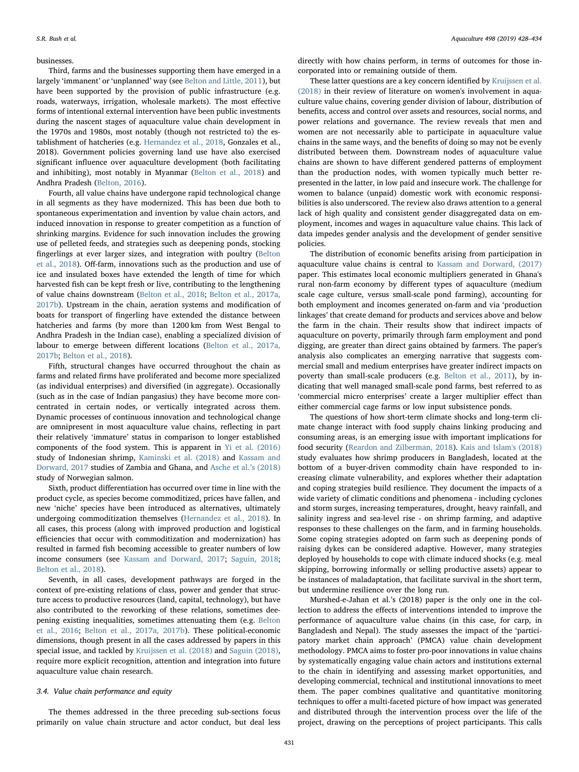#### businesses.

Third, farms and the businesses supporting them have emerged in a largely 'immanent' or 'unplanned' way (see [Belton and Little, 2011\)](#page-5-13), but have been supported by the provision of public infrastructure (e.g. roads, waterways, irrigation, wholesale markets). The most effective forms of intentional external intervention have been public investments during the nascent stages of aquaculture value chain development in the 1970s and 1980s, most notably (though not restricted to) the establishment of hatcheries (e.g. [Hernandez et al., 2018,](#page-5-17) Gonzales et al., 2018). Government policies governing land use have also exercised significant influence over aquaculture development (both facilitating and inhibiting), most notably in Myanmar ([Belton et al., 2018\)](#page-5-1) and Andhra Pradesh ([Belton, 2016](#page-5-23)).

Fourth, all value chains have undergone rapid technological change in all segments as they have modernized. This has been due both to spontaneous experimentation and invention by value chain actors, and induced innovation in response to greater competition as a function of shrinking margins. Evidence for such innovation includes the growing use of pelleted feeds, and strategies such as deepening ponds, stocking fingerlings at ever larger sizes, and integration with poultry ([Belton](#page-5-1) [et al., 2018\)](#page-5-1). Off-farm, innovations such as the production and use of ice and insulated boxes have extended the length of time for which harvested fish can be kept fresh or live, contributing to the lengthening of value chains downstream ([Belton et al., 2018;](#page-5-1) [Belton et al., 2017a,](#page-5-24) [2017b\)](#page-5-24). Upstream in the chain, aeration systems and modification of boats for transport of fingerling have extended the distance between hatcheries and farms (by more than 1200 km from West Bengal to Andhra Pradesh in the Indian case), enabling a specialized division of labour to emerge between different locations [\(Belton et al., 2017a,](#page-5-24) [2017b;](#page-5-24) [Belton et al., 2018\)](#page-5-1).

Fifth, structural changes have occurred throughout the chain as farms and related firms have proliferated and become more specialized (as individual enterprises) and diversified (in aggregate). Occasionally (such as in the case of Indian pangasius) they have become more concentrated in certain nodes, or vertically integrated across them. Dynamic processes of continuous innovation and technological change are omnipresent in most aquaculture value chains, reflecting in part their relatively 'immature' status in comparison to longer established components of the food system. This is apparent in [Yi et al. \(2016\)](#page-6-36) study of Indonesian shrimp, [Kaminski et al. \(2018\)](#page-6-32) and [Kassam and](#page-6-33) [Dorward, 2017](#page-6-33) studies of Zambia and Ghana, and [Asche et al.](#page-5-25)'s (2018) study of Norwegian salmon.

Sixth, product differentiation has occurred over time in line with the product cycle, as species become commoditized, prices have fallen, and new 'niche' species have been introduced as alternatives, ultimately undergoing commoditization themselves [\(Hernandez et al., 2018\)](#page-5-17). In all cases, this process (along with improved production and logistical efficiencies that occur with commoditization and modernization) has resulted in farmed fish becoming accessible to greater numbers of low income consumers (see [Kassam and Dorward, 2017](#page-6-33); [Saguin, 2018](#page-6-37); [Belton et al., 2018\)](#page-5-1).

Seventh, in all cases, development pathways are forged in the context of pre-existing relations of class, power and gender that structure access to productive resources (land, capital, technology), but have also contributed to the reworking of these relations, sometimes deepening existing inequalities, sometimes attenuating them (e.g. [Belton](#page-5-26) [et al., 2016](#page-5-26); [Belton et al., 2017a, 2017b](#page-5-24)). These political-economic dimensions, though present in all the cases addressed by papers in this special issue, and tackled by [Kruijssen et al. \(2018\)](#page-6-39) and [Saguin \(2018\)](#page-6-37), require more explicit recognition, attention and integration into future aquaculture value chain research.

## 3.4. Value chain performance and equity

The themes addressed in the three preceding sub-sections focus primarily on value chain structure and actor conduct, but deal less

directly with how chains perform, in terms of outcomes for those incorporated into or remaining outside of them.

These latter questions are a key concern identified by [Kruijssen et al.](#page-6-39) [\(2018\)](#page-6-39) in their review of literature on women's involvement in aquaculture value chains, covering gender division of labour, distribution of benefits, access and control over assets and resources, social norms, and power relations and governance. The review reveals that men and women are not necessarily able to participate in aquaculture value chains in the same ways, and the benefits of doing so may not be evenly distributed between them. Downstream nodes of aquaculture value chains are shown to have different gendered patterns of employment than the production nodes, with women typically much better represented in the latter, in low paid and insecure work. The challenge for women to balance (unpaid) domestic work with economic responsibilities is also underscored. The review also draws attention to a general lack of high quality and consistent gender disaggregated data on employment, incomes and wages in aquaculture value chains. This lack of data impedes gender analysis and the development of gender sensitive policies.

The distribution of economic benefits arising from participation in aquaculture value chains is central to [Kassam and Dorward, \(2017\)](#page-6-33) paper. This estimates local economic multipliers generated in Ghana's rural non-farm economy by different types of aquaculture (medium scale cage culture, versus small-scale pond farming), accounting for both employment and incomes generated on-farm and via 'production linkages' that create demand for products and services above and below the farm in the chain. Their results show that indirect impacts of aquaculture on poverty, primarily through farm employment and pond digging, are greater than direct gains obtained by farmers. The paper's analysis also complicates an emerging narrative that suggests commercial small and medium enterprises have greater indirect impacts on poverty than small-scale producers (e.g. [Belton et al., 2011\)](#page-5-9), by indicating that well managed small-scale pond farms, best referred to as 'commercial micro enterprises' create a larger multiplier effect than either commercial cage farms or low input subsistence ponds.

The questions of how short-term climate shocks and long-term climate change interact with food supply chains linking producing and consuming areas, is an emerging issue with important implications for food security ([Reardon and Zilberman, 2018](#page-6-40)). [Kais and Islam's \(2018\)](#page-6-38) study evaluates how shrimp producers in Bangladesh, located at the bottom of a buyer-driven commodity chain have responded to increasing climate vulnerability, and explores whether their adaptation and coping strategies build resilience. They document the impacts of a wide variety of climatic conditions and phenomena - including cyclones and storm surges, increasing temperatures, drought, heavy rainfall, and salinity ingress and sea-level rise - on shrimp farming, and adaptive responses to these challenges on the farm, and in farming households. Some coping strategies adopted on farm such as deepening ponds of raising dykes can be considered adaptive. However, many strategies deployed by households to cope with climate induced shocks (e.g. meal skipping, borrowing informally or selling productive assets) appear to be instances of maladaptation, that facilitate survival in the short term, but undermine resilience over the long run.

Murshed-e-Jahan et al.'s (2018) paper is the only one in the collection to address the effects of interventions intended to improve the performance of aquaculture value chains (in this case, for carp, in Bangladesh and Nepal). The study assesses the impact of the 'participatory market chain approach' (PMCA) value chain development methodology. PMCA aims to foster pro-poor innovations in value chains by systematically engaging value chain actors and institutions external to the chain in identifying and assessing market opportunities, and developing commercial, technical and institutional innovations to meet them. The paper combines qualitative and quantitative monitoring techniques to offer a multi-faceted picture of how impact was generated and distributed through the intervention process over the life of the project, drawing on the perceptions of project participants. This calls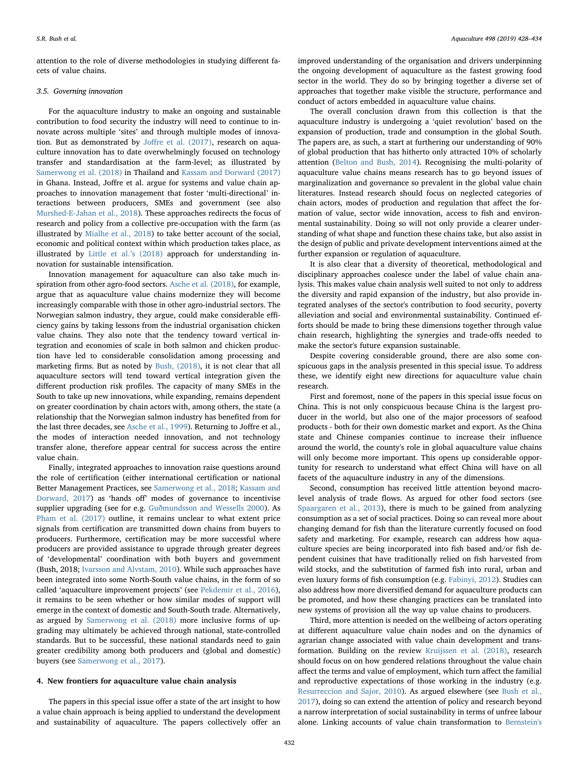attention to the role of diverse methodologies in studying different facets of value chains.

## 3.5. Governing innovation

For the aquaculture industry to make an ongoing and sustainable contribution to food security the industry will need to continue to innovate across multiple 'sites' and through multiple modes of innovation. But as demonstrated by Joff[re et al. \(2017\),](#page-6-41) research on aquaculture innovation has to date overwhelmingly focused on technology transfer and standardisation at the farm-level; as illustrated by [Samerwong et al. \(2018\)](#page-6-42) in Thailand and [Kassam and Dorward \(2017\)](#page-6-33) in Ghana. Instead, Joffre et al. argue for systems and value chain approaches to innovation management that foster 'multi-directional' interactions between producers, SMEs and government (see also [Murshed-E-Jahan et al., 2018\)](#page-6-43). These approaches redirects the focus of research and policy from a collective pre-occupation with the farm (as illustrated by [Mialhe et al., 2018\)](#page-6-34) to take better account of the social, economic and political context within which production takes place, as illustrated by [Little et al.](#page-6-31)'s (2018) approach for understanding innovation for sustainable intensification.

Innovation management for aquaculture can also take much inspiration from other agro-food sectors. [Asche et al. \(2018\),](#page-5-25) for example, argue that as aquaculture value chains modernize they will become increasingly comparable with those in other agro-industrial sectors. The Norwegian salmon industry, they argue, could make considerable efficiency gains by taking lessons from the industrial organisation chicken value chains. They also note that the tendency toward vertical integration and economies of scale in both salmon and chicken production have led to considerable consolidation among processing and marketing firms. But as noted by [Bush, \(2018\)](#page-5-16), it is not clear that all aquaculture sectors will tend toward vertical integration given the different production risk profiles. The capacity of many SMEs in the South to take up new innovations, while expanding, remains dependent on greater coordination by chain actors with, among others, the state (a relationship that the Norwegian salmon industry has benefited from for the last three decades, see [Asche et al., 1999](#page-5-27)). Returning to Joffre et al., the modes of interaction needed innovation, and not technology transfer alone, therefore appear central for success across the entire value chain.

Finally, integrated approaches to innovation raise questions around the role of certification (either international certification or national Better Management Practices, see [Samerwong et al., 2018](#page-6-42); [Kassam and](#page-6-33) [Dorward, 2017](#page-6-33)) as 'hands off' modes of governance to incentivise supplier upgrading (see for e.g. [Guðmundsson and Wessells 2000](#page-5-28)). As [Pham et al. \(2017\)](#page-6-30) outline, it remains unclear to what extent price signals from certification are transmitted down chains from buyers to producers. Furthermore, certification may be more successful where producers are provided assistance to upgrade through greater degrees of 'developmental' coordination with both buyers and government (Bush, 2018; [Ivarsson and Alvstam, 2010\)](#page-6-44). While such approaches have been integrated into some North-South value chains, in the form of so called 'aquaculture improvement projects' (see [Pekdemir et al., 2016](#page-6-45)), it remains to be seen whether or how similar modes of support will emerge in the context of domestic and South-South trade. Alternatively, as argued by [Samerwong et al. \(2018\)](#page-6-42) more inclusive forms of upgrading may ultimately be achieved through national, state-controlled standards. But to be successful, these national standards need to gain greater credibility among both producers and (global and domestic) buyers (see [Samerwong et al., 2017\)](#page-6-46).

## 4. New frontiers for aquaculture value chain analysis

The papers in this special issue offer a state of the art insight to how a value chain approach is being applied to understand the development and sustainability of aquaculture. The papers collectively offer an

improved understanding of the organisation and drivers underpinning the ongoing development of aquaculture as the fastest growing food sector in the world. They do so by bringing together a diverse set of approaches that together make visible the structure, performance and conduct of actors embedded in aquaculture value chains.

The overall conclusion drawn from this collection is that the aquaculture industry is undergoing a 'quiet revolution' based on the expansion of production, trade and consumption in the global South. The papers are, as such, a start at furthering our understanding of 90% of global production that has hitherto only attracted 10% of scholarly attention [\(Belton and Bush, 2014\)](#page-5-0). Recognising the multi-polarity of aquaculture value chains means research has to go beyond issues of marginalization and governance so prevalent in the global value chain literatures. Instead research should focus on neglected categories of chain actors, modes of production and regulation that affect the formation of value, sector wide innovation, access to fish and environmental sustainability. Doing so will not only provide a clearer understanding of what shape and function these chains take, but also assist in the design of public and private development interventions aimed at the further expansion or regulation of aquaculture.

It is also clear that a diversity of theoretical, methodological and disciplinary approaches coalesce under the label of value chain analysis. This makes value chain analysis well suited to not only to address the diversity and rapid expansion of the industry, but also provide integrated analyses of the sector's contribution to food security, poverty alleviation and social and environmental sustainability. Continued efforts should be made to bring these dimensions together through value chain research, highlighting the synergies and trade-offs needed to make the sector's future expansion sustainable.

Despite covering considerable ground, there are also some conspicuous gaps in the analysis presented in this special issue. To address these, we identify eight new directions for aquaculture value chain research.

First and foremost, none of the papers in this special issue focus on China. This is not only conspicuous because China is the largest producer in the world, but also one of the major processors of seafood products - both for their own domestic market and export. As the China state and Chinese companies continue to increase their influence around the world, the county's role in global aquaculture value chains will only become more important. This opens up considerable opportunity for research to understand what effect China will have on all facets of the aquaculture industry in any of the dimensions.

Second, consumption has received little attention beyond macrolevel analysis of trade flows. As argued for other food sectors (see [Spaargaren et al., 2013\)](#page-6-47), there is much to be gained from analyzing consumption as a set of social practices. Doing so can reveal more about changing demand for fish than the literature currently focused on food safety and marketing. For example, research can address how aquaculture species are being incorporated into fish based and/or fish dependent cuisines that have traditionally relied on fish harvested from wild stocks, and the substitution of farmed fish into rural, urban and even luxury forms of fish consumption (e.g. [Fabinyi, 2012](#page-5-29)). Studies can also address how more diversified demand for aquaculture products can be promoted, and how these changing practices can be translated into new systems of provision all the way up value chains to producers.

Third, more attention is needed on the wellbeing of actors operating at different aquaculture value chain nodes and on the dynamics of agrarian change associated with value chain development and transformation. Building on the review [Kruijssen et al. \(2018\),](#page-6-39) research should focus on on how gendered relations throughout the value chain affect the terms and value of employment, which turn affect the familial and reproductive expectations of those working in the industry (e.g. [Resurreccion and Sajor, 2010](#page-6-48)). As argued elsewhere (see [Bush et al.,](#page-5-30) [2017\)](#page-5-30), doing so can extend the attention of policy and research beyond a narrow interpretation of social sustainability in terms of unfree labour alone. Linking accounts of value chain transformation to [Bernstein's](#page-5-31)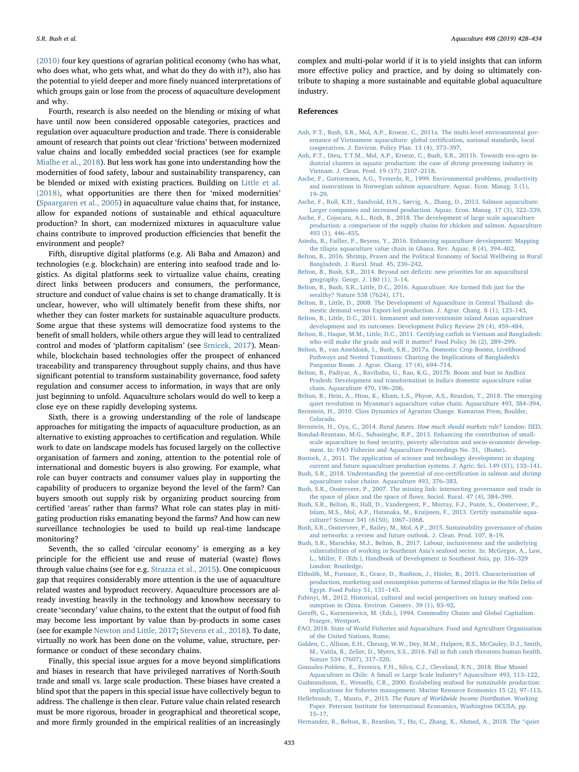S.R. Bush et al. *Aquaculture 498 (2019) 428–434*

[\(2010\)](#page-5-31) four key questions of agrarian political economy (who has what, who does what, who gets what, and what do they do with it?), also has the potential to yield deeper and more finely nuanced interpretations of which groups gain or lose from the process of aquaculture development and why.

Fourth, research is also needed on the blending or mixing of what have until now been considered opposable categories, practices and regulation over aquaculture production and trade. There is considerable amount of research that points out clear 'frictions' between modernized value chains and locally embedded social practices (see for example [Mialhe et al., 2018](#page-6-34)). But less work has gone into understanding how the modernities of food safety, labour and sustainability transparency, can be blended or mixed with existing practices. Building on [Little et al.](#page-6-31) [\(2018\),](#page-6-31) what opportunities are there then for 'mixed modernities' ([Spaargaren et al., 2005](#page-6-49)) in aquaculture value chains that, for instance, allow for expanded notions of sustainable and ethical aquaculture production? In short, can modernized mixtures in aquaculture value chains contribute to improved production efficiencies that benefit the environment and people?

Fifth, disruptive digital platforms (e.g. Ali Baba and Amazon) and technologies (e.g. blockchain) are entering into seafood trade and logistics. As digital platforms seek to virtualize value chains, creating direct links between producers and consumers, the performance, structure and conduct of value chains is set to change dramatically. It is unclear, however, who will ultimately benefit from these shifts, nor whether they can foster markets for sustainable aquaculture products. Some argue that these systems will democratize food systems to the benefit of small holders, while others argue they will lead to centralized control and modes of 'platform capitalism' (see [Srnicek, 2017\)](#page-6-50). Meanwhile, blockchain based technologies offer the prospect of enhanced traceability and transparency throughout supply chains, and thus have significant potential to transform sustainability governance, food safety regulation and consumer access to information, in ways that are only just beginning to unfold. Aquaculture scholars would do well to keep a close eye on these rapidly developing systems.

Sixth, there is a growing understanding of the role of landscape approaches for mitigating the impacts of aquaculture production, as an alternative to existing approaches to certification and regulation. While work to date on landscape models has focused largely on the collective organisation of farmers and zoning, attention to the potential role of international and domestic buyers is also growing. For example, what role can buyer contracts and consumer values play in supporting the capability of producers to organize beyond the level of the farm? Can buyers smooth out supply risk by organizing product sourcing from certified 'areas' rather than farms? What role can states play in mitigating production risks emanating beyond the farms? And how can new surveillance technologies be used to build up real-time landscape monitoring?

Seventh, the so called 'circular economy' is emerging as a key principle for the efficient use and reuse of material (waste) flows through value chains (see for e.g. [Strazza et al., 2015](#page-6-51)). One conspicuous gap that requires considerably more attention is the use of aquaculture related wastes and byproduct recovery. Aquaculture processors are already investing heavily in the technology and knowhow necessary to create 'secondary' value chains, to the extent that the output of food fish may become less important by value than by-products in some cases (see for example [Newton and Little, 2017](#page-6-52); [Stevens et al., 2018](#page-6-53)). To date, virtually no work has been done on the volume, value, structure, performance or conduct of these secondary chains.

Finally, this special issue argues for a move beyond simplifications and biases in research that have privileged narratives of North-South trade and small vs. large scale production. These biases have created a blind spot that the papers in this special issue have collectively begun to address. The challenge is then clear. Future value chain related research must be more rigorous, broader in geographical and theoretical scope, and more firmly grounded in the empirical realities of an increasingly

complex and multi-polar world if it is to yield insights that can inform more effective policy and practice, and by doing so ultimately contribute to shaping a more sustainable and equitable global aquaculture industry.

#### References

- <span id="page-5-8"></span>[Anh, P.T., Bush, S.R., Mol, A.P., Kroeze, C., 2011a. The multi-level environmental gov](http://refhub.elsevier.com/S0044-8486(18)31881-7/rf0005)[ernance of Vietnamese aquaculture: global certi](http://refhub.elsevier.com/S0044-8486(18)31881-7/rf0005)fication, national standards, local [cooperatives. J. Environ. Policy Plan. 13 \(4\), 373](http://refhub.elsevier.com/S0044-8486(18)31881-7/rf0005)–397.
- <span id="page-5-11"></span>[Anh, P.T., Dieu, T.T.M., Mol, A.P., Kroeze, C., Bush, S.R., 2011b. Towards eco-agro in](http://refhub.elsevier.com/S0044-8486(18)31881-7/rf0010)[dustrial clusters in aquatic production: the case of shrimp processing industry in](http://refhub.elsevier.com/S0044-8486(18)31881-7/rf0010) [Vietnam. J. Clean. Prod. 19 \(17\), 2107](http://refhub.elsevier.com/S0044-8486(18)31881-7/rf0010)–2118.
- <span id="page-5-27"></span>[Asche, F., Guttormsen, A.G., Tveterås, R., 1999. Environmental problems, productivity](http://refhub.elsevier.com/S0044-8486(18)31881-7/rf0015) [and innovations in Norwegian salmon aquaculture. Aquac. Econ. Manag. 3 \(1\),](http://refhub.elsevier.com/S0044-8486(18)31881-7/rf0015) 19–[29](http://refhub.elsevier.com/S0044-8486(18)31881-7/rf0015).
- <span id="page-5-21"></span>[Asche, F., Roll, K.H., Sandvold, H.N., Sørvig, A., Zhang, D., 2013. Salmon aquaculture:](http://refhub.elsevier.com/S0044-8486(18)31881-7/rf0020) [Larger companies and increased production. Aquac. Econ. Manag. 17 \(3\), 322](http://refhub.elsevier.com/S0044-8486(18)31881-7/rf0020)–339.
- <span id="page-5-25"></span>[Asche, F., Cojocaru, A.L., Roth, B., 2018. The development of large scale aquaculture](http://refhub.elsevier.com/S0044-8486(18)31881-7/rf0025) [production: a comparison of the supply chains for chicken and salmon. Aquaculture](http://refhub.elsevier.com/S0044-8486(18)31881-7/rf0025) [493 \(1\), 446](http://refhub.elsevier.com/S0044-8486(18)31881-7/rf0025)–455.
- <span id="page-5-5"></span>[Asiedu, B., Failler, P., Beyens, Y., 2016. Enhancing aquaculture development: Mapping](http://refhub.elsevier.com/S0044-8486(18)31881-7/rf0030) [the tilapia aquaculture value chain in Ghana. Rev. Aquac. 8 \(4\), 394](http://refhub.elsevier.com/S0044-8486(18)31881-7/rf0030)–402.
- <span id="page-5-23"></span>[Belton, B., 2016. Shrimp, Prawn and the Political Economy of Social Wellbeing in Rural](http://refhub.elsevier.com/S0044-8486(18)31881-7/rf0035) [Bangladesh. J. Rural. Stud. 45, 230](http://refhub.elsevier.com/S0044-8486(18)31881-7/rf0035)–242.
- <span id="page-5-0"></span>[Belton, B., Bush, S.R., 2014. Beyond net de](http://refhub.elsevier.com/S0044-8486(18)31881-7/rf0040)ficits: new priorities for an aquacultural [geography. Geogr. J. 180 \(1\), 3](http://refhub.elsevier.com/S0044-8486(18)31881-7/rf0040)–14.
- <span id="page-5-26"></span>[Belton, B., Bush, S.R., Little, D.C., 2016. Aquaculture: Are farmed](http://refhub.elsevier.com/S0044-8486(18)31881-7/rf3000) fish just for the [wealthy? Nature 538 \(7624\), 171](http://refhub.elsevier.com/S0044-8486(18)31881-7/rf3000).
- <span id="page-5-22"></span>[Belton, B., Little, D., 2008. The Development of Aquaculture in Central Thailand: do](http://refhub.elsevier.com/S0044-8486(18)31881-7/rf0045)[mestic demand versus Export-led production. J. Agrar. Chang. 8 \(1\), 123](http://refhub.elsevier.com/S0044-8486(18)31881-7/rf0045)–143.
- <span id="page-5-13"></span>[Belton, B., Little, D.C., 2011. Immanent and interventionist inland Asian aquaculture](http://refhub.elsevier.com/S0044-8486(18)31881-7/rf0050) [development and its outcomes. Development Policy Review 29 \(4\), 459](http://refhub.elsevier.com/S0044-8486(18)31881-7/rf0050)–484.
- <span id="page-5-9"></span>[Belton, B., Haque, M.M., Little, D.C., 2011. Certifying cat](http://refhub.elsevier.com/S0044-8486(18)31881-7/rf0055)fish in Vietnam and Bangladesh: [who will make the grade and will it matter? Food Policy 36 \(2\), 289](http://refhub.elsevier.com/S0044-8486(18)31881-7/rf0055)–299.
- <span id="page-5-24"></span>[Belton, B., van Asseldonk, I., Bush, S.R., 2017a. Domestic Crop Booms, Livelihood](http://refhub.elsevier.com/S0044-8486(18)31881-7/rf0060) [Pathways and Nested Transitions: Charting the Implications of Bangladesh's](http://refhub.elsevier.com/S0044-8486(18)31881-7/rf0060) [Pangasius Boom. J. Agrar. Chang. 17 \(4\), 694](http://refhub.elsevier.com/S0044-8486(18)31881-7/rf0060)–714.
- [Belton, B., Padiyar, A., Ravibabu, G., Rao, K.G., 2017b. Boom and bust in Andhra](http://refhub.elsevier.com/S0044-8486(18)31881-7/rf0065) [Pradesh: Development and transformation in India's domestic aquaculture value](http://refhub.elsevier.com/S0044-8486(18)31881-7/rf0065) [chain. Aquaculture 470, 196](http://refhub.elsevier.com/S0044-8486(18)31881-7/rf0065)–206.
- <span id="page-5-1"></span>[Belton, B., Hein, A., Htoo, K., Kham, L.S., Phyoe, A.S., Reardon, T., 2018. The emerging](http://refhub.elsevier.com/S0044-8486(18)31881-7/rf0070) [quiet revolution in Myanmar's aquaculture value chain. Aquaculture 493, 384](http://refhub.elsevier.com/S0044-8486(18)31881-7/rf0070)–394.
- <span id="page-5-31"></span>[Bernstein, H., 2010. Class Dynamics of Agrarian Change. Kumarian Press, Boulder,](http://refhub.elsevier.com/S0044-8486(18)31881-7/rf0075) [Colarado.](http://refhub.elsevier.com/S0044-8486(18)31881-7/rf0075)
- <span id="page-5-18"></span><span id="page-5-4"></span>Bernstein, H., Oya, C., 2014. [Rural futures. How much should markets rule?](http://refhub.elsevier.com/S0044-8486(18)31881-7/rf0080) London: IIED. [Bondad-Reantaso, M.G., Subasinghe, R.P., 2013. Enhancing the contribution of small](http://refhub.elsevier.com/S0044-8486(18)31881-7/rf0085)[scale aquaculture to food security, poverty alleviation and socio-economic develop-](http://refhub.elsevier.com/S0044-8486(18)31881-7/rf0085)
- <span id="page-5-12"></span>[ment. In: FAO Fisheries and Aquaculture Proceedings No. 31, \(Rome\)](http://refhub.elsevier.com/S0044-8486(18)31881-7/rf0085). [Bostock, J., 2011. The application of science and technology development in shaping](http://refhub.elsevier.com/S0044-8486(18)31881-7/rf0090)
- <span id="page-5-16"></span>[current and future aquaculture production systems. J. Agric. Sci. 149 \(S1\), 133](http://refhub.elsevier.com/S0044-8486(18)31881-7/rf0090)–141. Bush, [S.R., 2018. Understanding the potential of eco-certi](http://refhub.elsevier.com/S0044-8486(18)31881-7/rf0095)fication in salmon and shrimp
- <span id="page-5-7"></span>[aquaculture value chains. Aquaculture 493, 376](http://refhub.elsevier.com/S0044-8486(18)31881-7/rf0095)–383. [Bush, S.R., Oosterveer, P., 2007. The missing link: intersecting governance and trade in](http://refhub.elsevier.com/S0044-8486(18)31881-7/rf0100)
- [the space of place and the space of](http://refhub.elsevier.com/S0044-8486(18)31881-7/rf0100) flows. Sociol. Rural. 47 (4), 384–399.
- <span id="page-5-10"></span>[Bush, S.R., Belton, B., Hall, D., Vandergeest, P., Murray, F.J., Ponte, S., Oosterveer, P.,](http://refhub.elsevier.com/S0044-8486(18)31881-7/rf0105) [Islam, M.S., Mol, A.P., Hatanaka, M., Kruijssen, F., 2013. Certify sustainable aqua](http://refhub.elsevier.com/S0044-8486(18)31881-7/rf0105)[culture? Science 341 \(6150\), 1067](http://refhub.elsevier.com/S0044-8486(18)31881-7/rf0105)–1068.
- <span id="page-5-3"></span>[Bush, S.R., Oosterveer, P., Bailey, M., Mol, A.P., 2015. Sustainability governance of chains](http://refhub.elsevier.com/S0044-8486(18)31881-7/rf0110) [and networks: a review and future outlook. J. Clean. Prod. 107, 8](http://refhub.elsevier.com/S0044-8486(18)31881-7/rf0110)–19.
- <span id="page-5-30"></span>[Bush, S.R., Marschke, M.J., Belton, B., 2017. Labour, inclusiveness and the underlying](http://refhub.elsevier.com/S0044-8486(18)31881-7/rf0115) [vulnerabilities of working in Southeast Asia](http://refhub.elsevier.com/S0044-8486(18)31881-7/rf0115)'s seafood sector. In: McGregor, A., Law, [L., Miller, F. \(Eds.\), Handbook of Development in Southeast Asia, pp. 316](http://refhub.elsevier.com/S0044-8486(18)31881-7/rf0115)–329 [London: Routledge](http://refhub.elsevier.com/S0044-8486(18)31881-7/rf0115).
- <span id="page-5-6"></span>[Eltholth, M., Fornace, K., Grace, D., Rushton, J., Häsler, B., 2015. Characterisation of](http://refhub.elsevier.com/S0044-8486(18)31881-7/rf0130) [production, marketing and consumption patterns of farmed tilapia in the Nile Delta of](http://refhub.elsevier.com/S0044-8486(18)31881-7/rf0130) [Egypt. Food Policy 51, 131](http://refhub.elsevier.com/S0044-8486(18)31881-7/rf0130)–143.
- <span id="page-5-29"></span>[Fabinyi, M., 2012. Historical, cultural and social perspectives on luxury seafood con](http://refhub.elsevier.com/S0044-8486(18)31881-7/rf0135)[sumption in China. Environ. Conserv. 39 \(1\), 83](http://refhub.elsevier.com/S0044-8486(18)31881-7/rf0135)–92.
- <span id="page-5-2"></span>Gereffi[, G., Korzeniewicz, M. \(Eds.\), 1994. Commodity Chains and Global Capitalism.](http://refhub.elsevier.com/S0044-8486(18)31881-7/rf0140) [Praeger, Westport](http://refhub.elsevier.com/S0044-8486(18)31881-7/rf0140).
- <span id="page-5-15"></span>[FAO, 2018. State of World Fisheries and Aquaculture. Food and Agriculture Organisation](http://refhub.elsevier.com/S0044-8486(18)31881-7/rf2000) [of the United Nations, Rome](http://refhub.elsevier.com/S0044-8486(18)31881-7/rf2000).
- <span id="page-5-19"></span>[Golden, C., Allison, E.H., Cheung, W.W., Dey, M.M., Halpern, B.S., McCauley, D.J., Smith,](http://refhub.elsevier.com/S0044-8486(18)31881-7/rf0145) [M., Vaitla, B., Zeller, D., Myers, S.S., 2016. Fall in](http://refhub.elsevier.com/S0044-8486(18)31881-7/rf0145) fish catch threatens human health. [Nature 534 \(7607\), 317](http://refhub.elsevier.com/S0044-8486(18)31881-7/rf0145)–320.
- <span id="page-5-20"></span>[Gonzalez-Poblete, E., Ferreira, F.H., Silva, C.J., Cleveland, R.N., 2018. Blue Mussel](http://refhub.elsevier.com/S0044-8486(18)31881-7/rf0150) [Aquaculture in Chile: A Small or Large Scale Industry? Aquaculture 493, 113](http://refhub.elsevier.com/S0044-8486(18)31881-7/rf0150)–122.
- <span id="page-5-28"></span>[Gudmundsson, E., Wessells, C.R., 2000. Ecolabeling seafood for sustainable production:](http://refhub.elsevier.com/S0044-8486(18)31881-7/rf4000) implications for fi[sheries management. Marine Resource Economics 15 \(2\), 97](http://refhub.elsevier.com/S0044-8486(18)31881-7/rf4000)–113.
- <span id="page-5-14"></span>Hellebrandt, T., Mauro, P., 2015. [The Future of Worldwide Income Distribution](http://refhub.elsevier.com/S0044-8486(18)31881-7/rf0155). Working [Paper. Peterson Institute for International Economics, Washington DCUSA, pp.](http://refhub.elsevier.com/S0044-8486(18)31881-7/rf0155) 15–[17](http://refhub.elsevier.com/S0044-8486(18)31881-7/rf0155).
- <span id="page-5-17"></span>[Hernandez, R., Belton, B., Reardon, T., Hu, C., Zhang, X., Ahmed, A., 2018. The](http://refhub.elsevier.com/S0044-8486(18)31881-7/rf0160) "quiet